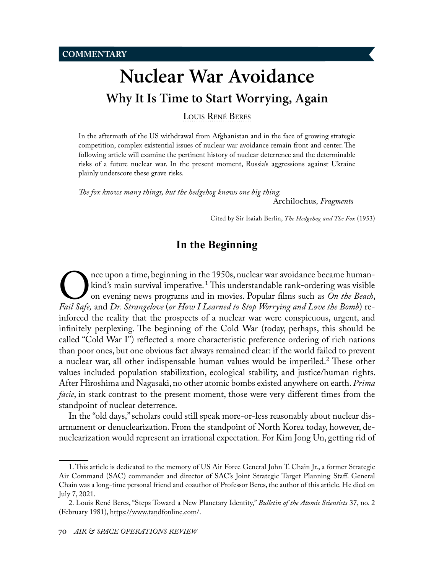# <span id="page-0-0"></span>**Nuclear War Avoidance Why It Is Time to Start Worrying, Again**

[Louis René Beres](#page-12-0)

In the aftermath of the US withdrawal from Afghanistan and in the face of growing strategic competition, complex existential issues of nuclear war avoidance remain front and center. The following article will examine the pertinent history of nuclear deterrence and the determinable risks of a future nuclear war. In the present moment, Russia's aggressions against Ukraine plainly underscore these grave risks.

*The fox knows many things, but the hedgehog knows one big thing.*

Archilochus, *Fragments*

Cited by Sir Isaiah Berlin, *The Hedgehog and The Fox* (1953)

# **In the Beginning**

The upon a time, beginning in the 1950s, nuclear war avoidance became human-<br> *Fail Safe*, and *Dr. Strangelove (or How I Learned to Stop Worrying and Love the Bomb*) rekind's main survival imperative. <sup>1</sup> This understandable rank-ordering was visible on evening news programs and in movies. Popular films such as *On the Beach*, inforced the reality that the prospects of a nuclear war were conspicuous, urgent, and infinitely perplexing. The beginning of the Cold War (today, perhaps, this should be called "Cold War I") reflected a more characteristic preference ordering of rich nations than poor ones, but one obvious fact always remained clear: if the world failed to prevent a nuclear war, all other indispensable human values would be imperiled.2 These other values included population stabilization, ecological stability, and justice/human rights. After Hiroshima and Nagasaki, no other atomic bombs existed anywhere on earth. *Prima facie*, in stark contrast to the present moment, those were very different times from the standpoint of nuclear deterrence.

In the "old days," scholars could still speak more-or-less reasonably about nuclear disarmament or denuclearization. From the standpoint of North Korea today, however, denuclearization would represent an irrational expectation. For Kim Jong Un, getting rid of

<sup>1.</sup> This article is dedicated to the memory of US Air Force General John T. Chain Jr., a former Strategic Air Command (SAC) commander and director of SAC's Joint Strategic Target Planning Staff. General Chain was a long-time personal friend and coauthor of Professor Beres, the author of this article. He died on July 7, 2021.

<sup>2.</sup> Louis René Beres, "Steps Toward a New Planetary Identity," *Bulletin of the Atomic Scientists* 37, no. 2 (February 1981), [https://www.tandfonline.com/.](https://www.tandfonline.com/doi/abs/10.1080/00963402.1981.11458822)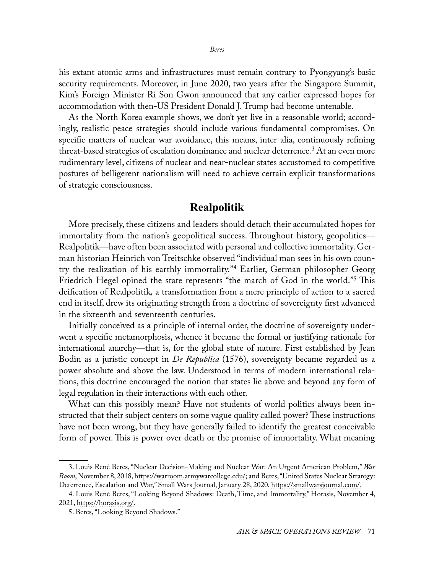his extant atomic arms and infrastructures must remain contrary to Pyongyang's basic security requirements. Moreover, in June 2020, two years after the Singapore Summit, Kim's Foreign Minister Ri Son Gwon announced that any earlier expressed hopes for accommodation with then-US President Donald J. Trump had become untenable.

As the North Korea example shows, we don't yet live in a reasonable world; accordingly, realistic peace strategies should include various fundamental compromises. On specific matters of nuclear war avoidance, this means, inter alia, continuously refining threat-based strategies of escalation dominance and nuclear deterrence*.* <sup>3</sup> At an even more rudimentary level, citizens of nuclear and near-nuclear states accustomed to competitive postures of belligerent nationalism will need to achieve certain explicit transformations of strategic consciousness.

## **Realpolitik**

More precisely, these citizens and leaders should detach their accumulated hopes for immortality from the nation's geopolitical success. Throughout history, geopolitics— Realpolitik—have often been associated with personal and collective immortality. German historian Heinrich von Treitschke observed "individual man sees in his own country the realization of his earthly immortality."4 Earlier, German philosopher Georg Friedrich Hegel opined the state represents "the march of God in the world."<sup>5</sup> This deification of Realpolitik*,* a transformation from a mere principle of action to a sacred end in itself, drew its originating strength from a doctrine of sovereignty first advanced in the sixteenth and seventeenth centuries.

Initially conceived as a principle of internal order, the doctrine of sovereignty underwent a specific metamorphosis, whence it became the formal or justifying rationale for international anarchy—that is, for the global state of nature. First established by Jean Bodin as a juristic concept in *De Republica* (1576), sovereignty became regarded as a power absolute and above the law. Understood in terms of modern international relations, this doctrine encouraged the notion that states lie above and beyond any form of legal regulation in their interactions with each other.

What can this possibly mean? Have not students of world politics always been instructed that their subject centers on some vague quality called power? These instructions have not been wrong, but they have generally failed to identify the greatest conceivable form of power. This is power over death or the promise of immortality. What meaning

<sup>3.</sup> Louis René Beres, "Nuclear Decision-Making and Nuclear War: An Urgent American Problem," *War Room*, November 8, 2018, [https://warroom.armywarcollege.edu/](https://warroom.armywarcollege.edu/articles/nuclear-decision-making-and-nuclear-war-an-urgent-american-problem/); and Beres, "United States Nuclear Strategy: Deterrence, Escalation and War," Small Wars Journal, January 28, 2020, [https://smallwarsjournal.com/](https://smallwarsjournal.com/jrnl/art/united-states-nuclear-strategy-deterrence-escalation-and-war).

<sup>4.</sup> Louis René Beres, "Looking Beyond Shadows: Death, Time, and Immortality," Horasis, November 4, 2021, [https://horasis.org/](https://horasis.org/looking-beyond-shadows-death-time-and-immortality/).

<sup>5.</sup> Beres, "Looking Beyond Shadows."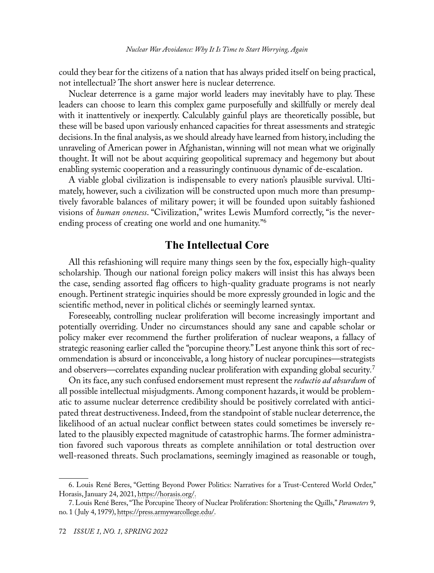could they bear for the citizens of a nation that has always prided itself on being practical, not intellectual? The short answer here is nuclear deterrence*.*

Nuclear deterrence is a game major world leaders may inevitably have to play. These leaders can choose to learn this complex game purposefully and skillfully or merely deal with it inattentively or inexpertly. Calculably gainful plays are theoretically possible, but these will be based upon variously enhanced capacities for threat assessments and strategic decisions. In the final analysis, as we should already have learned from history, including the unraveling of American power in Afghanistan, winning will not mean what we originally thought. It will not be about acquiring geopolitical supremacy and hegemony but about enabling systemic cooperation and a reassuringly continuous dynamic of de-escalation.

A viable global civilization is indispensable to every nation's plausible survival. Ultimately, however, such a civilization will be constructed upon much more than presumptively favorable balances of military power; it will be founded upon suitably fashioned visions of *human oneness*. "Civilization," writes Lewis Mumford correctly, "is the neverending process of creating one world and one humanity."6

## **The Intellectual Core**

All this refashioning will require many things seen by the fox, especially high-quality scholarship*.* Though our national foreign policy makers will insist this has always been the case, sending assorted flag officers to high-quality graduate programs is not nearly enough. Pertinent strategic inquiries should be more expressly grounded in logic and the scientific method, never in political clichés or seemingly learned syntax.

Foreseeably, controlling nuclear proliferation will become increasingly important and potentially overriding. Under no circumstances should any sane and capable scholar or policy maker ever recommend the further proliferation of nuclear weapons, a fallacy of strategic reasoning earlier called the "porcupine theory." Lest anyone think this sort of recommendation is absurd or inconceivable, a long history of nuclear porcupines—strategists and observers—correlates expanding nuclear proliferation with expanding global security*.* 7

On its face, any such confused endorsement must represent the *reductio ad absurdum* of all possible intellectual misjudgments. Among component hazards, it would be problematic to assume nuclear deterrence credibility should be positively correlated with anticipated threat destructiveness. Indeed, from the standpoint of stable nuclear deterrence, the likelihood of an actual nuclear conflict between states could sometimes be inversely related to the plausibly expected magnitude of catastrophic harms. The former administration favored such vaporous threats as complete annihilation or total destruction over well-reasoned threats. Such proclamations, seemingly imagined as reasonable or tough,

<sup>6.</sup> Louis René Beres, "Getting Beyond Power Politics: Narratives for a Trust-Centered World Order," Horasis, January 24, 2021, [https://horasis.org/.](https://horasis.org/getting-beyond-power-politics-narratives-for-a-trust-centered-world-order/)

<sup>7.</sup> Louis René Beres, "The Porcupine Theory of Nuclear Proliferation: Shortening the Quills," *Parameters* 9, no. 1 (July 4, 1979), [https://press.armywarcollege.edu/](https://press.armywarcollege.edu/parameters/vol9/iss1/7/).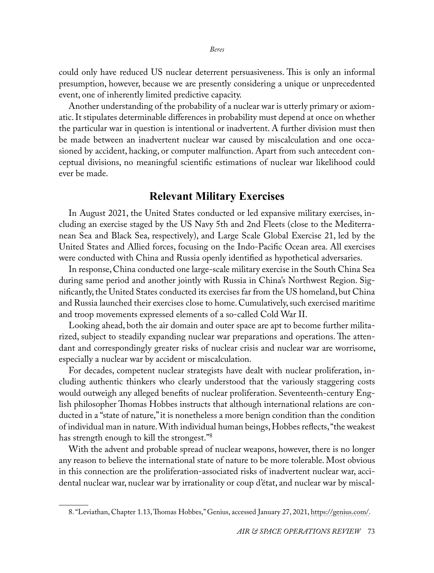could only have reduced US nuclear deterrent persuasiveness. This is only an informal presumption, however, because we are presently considering a unique or unprecedented event, one of inherently limited predictive capacity.

Another understanding of the probability of a nuclear war is utterly primary or axiomatic. It stipulates determinable differences in probability must depend at once on whether the particular war in question is intentional or inadvertent. A further division must then be made between an inadvertent nuclear war caused by miscalculation and one occasioned by accident, hacking, or computer malfunction. Apart from such antecedent conceptual divisions, no meaningful scientific estimations of nuclear war likelihood could ever be made.

# **Relevant Military Exercises**

In August 2021, the United States conducted or led expansive military exercises, including an exercise staged by the US Navy 5th and 2nd Fleets (close to the Mediterranean Sea and Black Sea, respectively), and Large Scale Global Exercise 21, led by the United States and Allied forces, focusing on the Indo-Pacific Ocean area. All exercises were conducted with China and Russia openly identified as hypothetical adversaries.

In response, China conducted one large-scale military exercise in the South China Sea during same period and another jointly with Russia in China's Northwest Region. Significantly, the United States conducted its exercises far from the US homeland, but China and Russia launched their exercises close to home. Cumulatively, such exercised maritime and troop movements expressed elements of a so-called Cold War II.

Looking ahead, both the air domain and outer space are apt to become further militarized, subject to steadily expanding nuclear war preparations and operations. The attendant and correspondingly greater risks of nuclear crisis and nuclear war are worrisome, especially a nuclear war by accident or miscalculation.

For decades, competent nuclear strategists have dealt with nuclear proliferation, including authentic thinkers who clearly understood that the variously staggering costs would outweigh any alleged benefits of nuclear proliferation. Seventeenth-century English philosopher Thomas Hobbes instructs that although international relations are conducted in a "state of nature," it is nonetheless a more benign condition than the condition of individual man in nature. With individual human beings, Hobbes reflects, "the weakest has strength enough to kill the strongest."<sup>8</sup>

With the advent and probable spread of nuclear weapons, however, there is no longer any reason to believe the international state of nature to be more tolerable. Most obvious in this connection are the proliferation-associated risks of inadvertent nuclear war, accidental nuclear war, nuclear war by irrationality or coup d'état, and nuclear war by miscal-

<sup>8. &</sup>quot;Leviathan, Chapter 1.13, Thomas Hobbes," Genius, accessed January 27, 2021, [https://genius.com/](https://genius.com/Thomas-hobbes-leviathan-chap-113-annotated).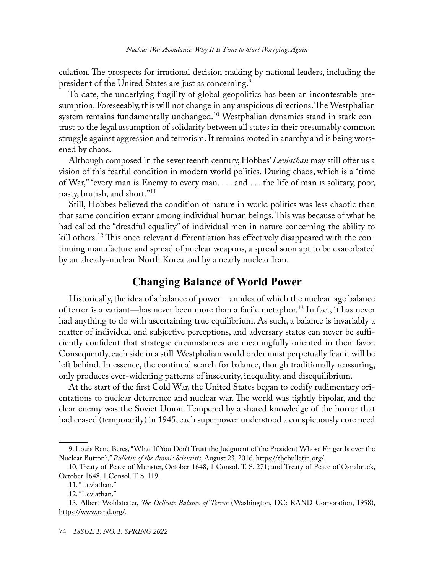culation. The prospects for irrational decision making by national leaders, including the president of the United States are just as concerning.<sup>9</sup>

To date, the underlying fragility of global geopolitics has been an incontestable presumption. Foreseeably, this will not change in any auspicious directions. The Westphalian system remains fundamentally unchanged.<sup>10</sup> Westphalian dynamics stand in stark contrast to the legal assumption of solidarity between all states in their presumably common struggle against aggression and terrorism. It remains rooted in anarchy and is being worsened by chaos.

Although composed in the seventeenth century, Hobbes' *Leviathan* may still offer us a vision of this fearful condition in modern world politics. During chaos, which is a "time of War," "every man is Enemy to every man. . . . and . . . the life of man is solitary, poor, nasty, brutish, and short."11

Still, Hobbes believed the condition of nature in world politics was less chaotic than that same condition extant among individual human beings. This was because of what he had called the "dreadful equality" of individual men in nature concerning the ability to kill others.12 This once-relevant differentiation has effectively disappeared with the continuing manufacture and spread of nuclear weapons, a spread soon apt to be exacerbated by an already-nuclear North Korea and by a nearly nuclear Iran.

# **Changing Balance of World Power**

Historically, the idea of a balance of power—an idea of which the nuclear-age balance of terror is a variant—has never been more than a facile metaphor.13 In fact, it has never had anything to do with ascertaining true equilibrium. As such, a balance is invariably a matter of individual and subjective perceptions, and adversary states can never be sufficiently confident that strategic circumstances are meaningfully oriented in their favor. Consequently, each side in a still-Westphalian world order must perpetually fear it will be left behind. In essence, the continual search for balance, though traditionally reassuring, only produces ever-widening patterns of insecurity, inequality, and disequilibrium.

At the start of the first Cold War, the United States began to codify rudimentary orientations to nuclear deterrence and nuclear war. The world was tightly bipolar, and the clear enemy was the Soviet Union. Tempered by a shared knowledge of the horror that had ceased (temporarily) in 1945, each superpower understood a conspicuously core need

<sup>9.</sup> Louis René Beres, "What If You Don't Trust the Judgment of the President Whose Finger Is over the Nuclear Button?," *Bulletin of the Atomic Scientists*, August 23, 2016, [https://thebulletin.org/.](https://thebulletin.org/2016/08/what-if-you-dont-trust-the-judgment-of-the-president-whose-finger-is-over-the-nuclear-button/)

<sup>10.</sup> Treaty of Peace of Munster, October 1648, 1 Consol. T. S. 271; and Treaty of Peace of Osnabruck, October 1648, 1 Consol. T. S. 119.

<sup>11. &</sup>quot;Leviathan."

<sup>12. &</sup>quot;Leviathan."

<sup>13.</sup> Albert Wohlstetter, *The Delicate Balance of Terror* (Washington, DC: RAND Corporation, 1958), [https://www.rand.org/.](https://www.rand.org/pubs/papers/P1472.html)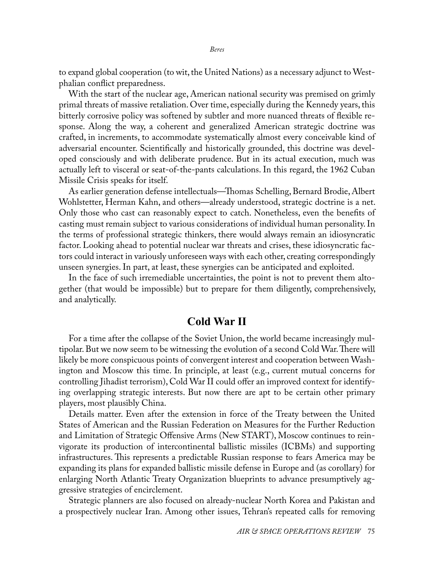to expand global cooperation (to wit, the United Nations) as a necessary adjunct to Westphalian conflict preparedness.

With the start of the nuclear age, American national security was premised on grimly primal threats of massive retaliation. Over time, especially during the Kennedy years, this bitterly corrosive policy was softened by subtler and more nuanced threats of flexible response. Along the way, a coherent and generalized American strategic doctrine was crafted, in increments, to accommodate systematically almost every conceivable kind of adversarial encounter. Scientifically and historically grounded, this doctrine was developed consciously and with deliberate prudence. But in its actual execution, much was actually left to visceral or seat-of-the-pants calculations. In this regard, the 1962 Cuban Missile Crisis speaks for itself.

As earlier generation defense intellectuals—Thomas Schelling, Bernard Brodie, Albert Wohlstetter, Herman Kahn, and others—already understood, strategic doctrine is a net. Only those who cast can reasonably expect to catch. Nonetheless, even the benefits of casting must remain subject to various considerations of individual human personality. In the terms of professional strategic thinkers, there would always remain an idiosyncratic factor. Looking ahead to potential nuclear war threats and crises, these idiosyncratic factors could interact in variously unforeseen ways with each other, creating correspondingly unseen synergies. In part, at least, these synergies can be anticipated and exploited.

In the face of such irremediable uncertainties, the point is not to prevent them altogether (that would be impossible) but to prepare for them diligently, comprehensively, and analytically.

## **Cold War II**

For a time after the collapse of the Soviet Union, the world became increasingly multipolar. But we now seem to be witnessing the evolution of a second Cold War. There will likely be more conspicuous points of convergent interest and cooperation between Washington and Moscow this time. In principle, at least (e.g., current mutual concerns for controlling Jihadist terrorism), Cold War II could offer an improved context for identifying overlapping strategic interests. But now there are apt to be certain other primary players, most plausibly China.

Details matter. Even after the extension in force of the Treaty between the United States of American and the Russian Federation on Measures for the Further Reduction and Limitation of Strategic Offensive Arms (New START), Moscow continues to reinvigorate its production of intercontinental ballistic missiles (ICBMs) and supporting infrastructures. This represents a predictable Russian response to fears America may be expanding its plans for expanded ballistic missile defense in Europe and (as corollary) for enlarging North Atlantic Treaty Organization blueprints to advance presumptively aggressive strategies of encirclement.

Strategic planners are also focused on already-nuclear North Korea and Pakistan and a prospectively nuclear Iran. Among other issues, Tehran's repeated calls for removing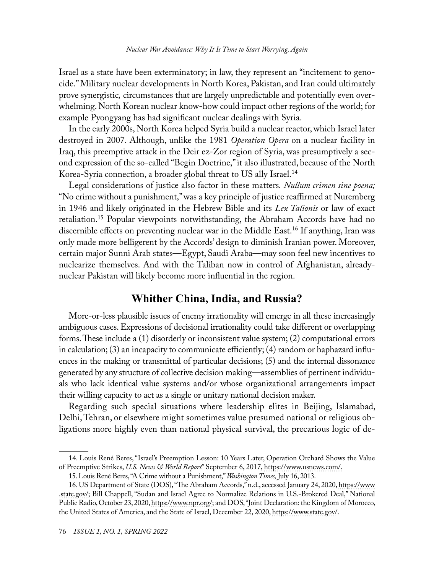Israel as a state have been exterminatory; in law, they represent an "incitement to genocide." Military nuclear developments in North Korea, Pakistan, and Iran could ultimately prove synergistic*,* circumstances that are largely unpredictable and potentially even overwhelming. North Korean nuclear know-how could impact other regions of the world; for example Pyongyang has had significant nuclear dealings with Syria.

In the early 2000s, North Korea helped Syria build a nuclear reactor, which Israel later destroyed in 2007. Although, unlike the 1981 *Operation Opera* on a nuclear facility in Iraq, this preemptive attack in the Deir ez-Zor region of Syria, was presumptively a second expression of the so-called "Begin Doctrine," it also illustrated, because of the North Korea-Syria connection, a broader global threat to US ally Israel.14

Legal considerations of justice also factor in these matters*. Nullum crimen sine poena;* "No crime without a punishment," was a key principle of justice reaffirmed at Nuremberg in 1946 and likely originated in the Hebrew Bible and its *Lex Talionis* or law of exact retaliation.<sup>15</sup> Popular viewpoints notwithstanding, the Abraham Accords have had no discernible effects on preventing nuclear war in the Middle East.16 If anything, Iran was only made more belligerent by the Accords' design to diminish Iranian power. Moreover, certain major Sunni Arab states—Egypt, Saudi Araba—may soon feel new incentives to nuclearize themselves. And with the Taliban now in control of Afghanistan, alreadynuclear Pakistan will likely become more influential in the region.

## **Whither China, India, and Russia?**

More-or-less plausible issues of enemy irrationality will emerge in all these increasingly ambiguous cases. Expressions of decisional irrationality could take different or overlapping forms. These include a (1) disorderly or inconsistent value system; (2) computational errors in calculation; (3) an incapacity to communicate efficiently; (4) random or haphazard influences in the making or transmittal of particular decisions; (5) and the internal dissonance generated by any structure of collective decision making—assemblies of pertinent individuals who lack identical value systems and/or whose organizational arrangements impact their willing capacity to act as a single or unitary national decision maker.

Regarding such special situations where leadership elites in Beijing, Islamabad, Delhi, Tehran, or elsewhere might sometimes value presumed national or religious obligations more highly even than national physical survival, the precarious logic of de-

<sup>14.</sup> Louis René Beres, "Israel's Preemption Lesson: 10 Years Later, Operation Orchard Shows the Value of Preemptive Strikes, *U.S. News & World Report*" September 6, 2017, [https://www.usnews.com/](https://www.usnews.com/opinion/world-report/articles/2017-09-06/10-years-later-israels-operation-orchard-offers-lessons-on-north-korea).

<sup>15.</sup> Louis René Beres, "A Crime without a Punishment," *Washington Times,* July 16, 2013.

<sup>16.</sup> US Department of State (DOS), "The Abraham Accords," n.d., accessed January 24, 2020, [https://www](https://www.state.gov/the-abraham-accords/) [.state.gov/](https://www.state.gov/the-abraham-accords/); Bill Chappell, "Sudan and Israel Agree to Normalize Relations in U.S.-Brokered Deal," National Public Radio, October 23, 2020, [https://www.npr.org/;](https://www.npr.org/2020/10/23/927183083/sudan-and-israel-agree-to-normalize-relations-in-u-s-brokered-deal) and DOS, "Joint Declaration: the Kingdom of Morocco, the United States of America, and the State of Israel, December 22, 2020, [https://www.state.gov/.](https://www.state.gov/wp-content/uploads/2021/01/Joint-Declaration-US-Morrocco-Israel.pdf)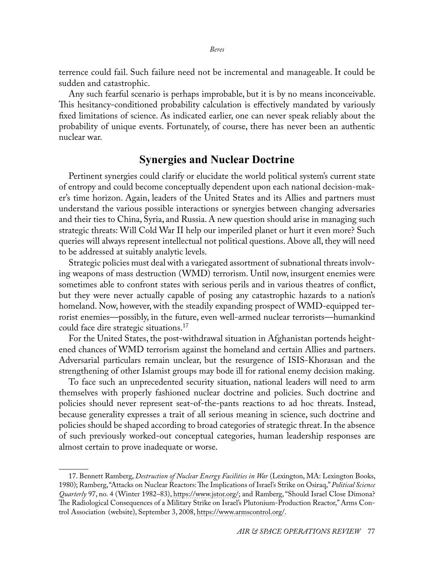terrence could fail. Such failure need not be incremental and manageable. It could be sudden and catastrophic.

Any such fearful scenario is perhaps improbable, but it is by no means inconceivable. This hesitancy-conditioned probability calculation is effectively mandated by variously fixed limitations of science. As indicated earlier, one can never speak reliably about the probability of unique events. Fortunately, of course, there has never been an authentic nuclear war.

## **Synergies and Nuclear Doctrine**

Pertinent synergies could clarify or elucidate the world political system's current state of entropy and could become conceptually dependent upon each national decision-maker's time horizon. Again, leaders of the United States and its Allies and partners must understand the various possible interactions or synergies between changing adversaries and their ties to China, Syria, and Russia. A new question should arise in managing such strategic threats: Will Cold War II help our imperiled planet or hurt it even more? Such queries will always represent intellectual not political questions. Above all, they will need to be addressed at suitably analytic levels.

Strategic policies must deal with a variegated assortment of subnational threats involving weapons of mass destruction (WMD) terrorism. Until now, insurgent enemies were sometimes able to confront states with serious perils and in various theatres of conflict, but they were never actually capable of posing any catastrophic hazards to a nation's homeland. Now, however, with the steadily expanding prospect of WMD-equipped terrorist enemies—possibly, in the future, even well-armed nuclear terrorists—humankind could face dire strategic situations.17

For the United States, the post-withdrawal situation in Afghanistan portends heightened chances of WMD terrorism against the homeland and certain Allies and partners. Adversarial particulars remain unclear, but the resurgence of ISIS-Khorasan and the strengthening of other Islamist groups may bode ill for rational enemy decision making.

To face such an unprecedented security situation, national leaders will need to arm themselves with properly fashioned nuclear doctrine and policies. Such doctrine and policies should never represent seat-of-the-pants reactions to ad hoc threats. Instead, because generality expresses a trait of all serious meaning in science, such doctrine and policies should be shaped according to broad categories of strategic threat. In the absence of such previously worked-out conceptual categories, human leadership responses are almost certain to prove inadequate or worse.

<sup>17.</sup> Bennett Ramberg, *Destruction of Nuclear Energy Facilities in War* (Lexington, MA: Lexington Books, 1980); Ramberg, "Attacks on Nuclear Reactors: The Implications of Israel's Strike on Osiraq," *Political Science Quarterly* 97, no. 4 (Winter 1982*–*83), [https://www.jstor.org/;](https://www.jstor.org/stable/2149782) and Ramberg, "Should Israel Close Dimona? The Radiological Consequences of a Military Strike on Israel's Plutonium-Production Reactor," Arms Control Association(website), September 3, 2008, [https://www.armscontrol.org/](https://www.armscontrol.org/act/2008-06/features/should-israel-close-dimona-radiological-consequences-military-strike-israel’s).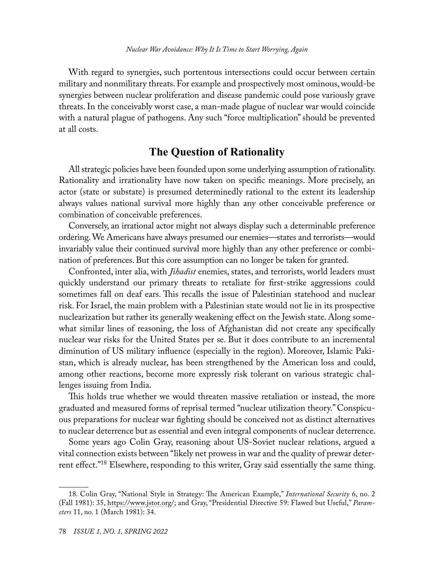With regard to synergies, such portentous intersections could occur between certain military and nonmilitary threats. For example and prospectively most ominous, would-be synergies between nuclear proliferation and disease pandemic could pose variously grave threats. In the conceivably worst case, a man-made plague of nuclear war would coincide with a natural plague of pathogens. Any such "force multiplication" should be prevented at all costs.

# **The Question of Rationality**

All strategic policies have been founded upon some underlying assumption of rationality. Rationality and irrationality have now taken on specific meanings. More precisely, an actor (state or substate) is presumed determinedly rational to the extent its leadership always values national survival more highly than any other conceivable preference or combination of conceivable preferences.

Conversely, an irrational actor might not always display such a determinable preference ordering. We Americans have always presumed our enemies—states and terrorists—would invariably value their continued survival more highly than any other preference or combination of preferences. But this core assumption can no longer be taken for granted.

Confronted, inter alia, with *Jihadist* enemies, states, and terrorists, world leaders must quickly understand our primary threats to retaliate for first-strike aggressions could sometimes fall on deaf ears. This recalls the issue of Palestinian statehood and nuclear risk. For Israel, the main problem with a Palestinian state would not lie in its prospective nuclearization but rather its generally weakening effect on the Jewish state. Along somewhat similar lines of reasoning, the loss of Afghanistan did not create any specifically nuclear war risks for the United States per se. But it does contribute to an incremental diminution of US military influence (especially in the region). Moreover, Islamic Pakistan, which is already nuclear, has been strengthened by the American loss and could, among other reactions, become more expressly risk tolerant on various strategic challenges issuing from India.

This holds true whether we would threaten massive retaliation or instead, the more graduated and measured forms of reprisal termed "nuclear utilization theory." Conspicuous preparations for nuclear war fighting should be conceived not as distinct alternatives to nuclear deterrence but as essential and even integral components of nuclear deterrence.

Some years ago Colin Gray, reasoning about US-Soviet nuclear relations, argued a vital connection exists between "likely net prowess in war and the quality of prewar deterrent effect."18 Elsewhere, responding to this writer, Gray said essentially the same thing.

<sup>18.</sup> Colin Gray, "National Style in Strategy: The American Example," *International Security* 6, no. 2 (Fall 1981): 35, [https://www.jstor.org/](https://www.jstor.org/stable/2538645); and Gray, "Presidential Directive 59: Flawed but Useful," *Parameters* 11, no. 1 (March 1981): 34.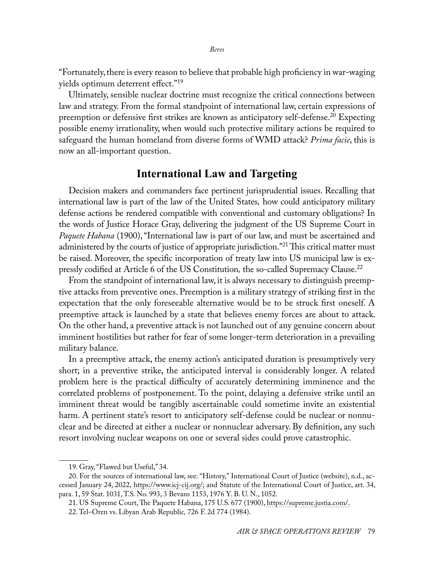"Fortunately, there is every reason to believe that probable high proficiency in war-waging yields optimum deterrent effect."19

Ultimately, sensible nuclear doctrine must recognize the critical connections between law and strategy. From the formal standpoint of international law, certain expressions of preemption or defensive first strikes are known as anticipatory self-defense.<sup>20</sup> Expecting possible enemy irrationality, when would such protective military actions be required to safeguard the human homeland from diverse forms of WMD attack? *Prima facie*, this is now an all-important question.

# **International Law and Targeting**

Decision makers and commanders face pertinent jurisprudential issues. Recalling that international law is part of the law of the United States*,* how could anticipatory military defense actions be rendered compatible with conventional and customary obligations? In the words of Justice Horace Gray, delivering the judgment of the US Supreme Court in *Paquete Habana* (1900), "International law is part of our law, and must be ascertained and administered by the courts of justice of appropriate jurisdiction."<sup>21</sup> This critical matter must be raised. Moreover, the specific incorporation of treaty law into US municipal law is expressly codified at Article 6 of the US Constitution*,* the so-called Supremacy Clause.22

From the standpoint of international law, it is always necessary to distinguish preemptive attacks from preventive ones. Preemption is a military strategy of striking first in the expectation that the only foreseeable alternative would be to be struck first oneself. A preemptive attack is launched by a state that believes enemy forces are about to attack. On the other hand, a preventive attack is not launched out of any genuine concern about imminent hostilities but rather for fear of some longer-term deterioration in a prevailing military balance.

In a preemptive attack, the enemy action's anticipated duration is presumptively very short; in a preventive strike, the anticipated interval is considerably longer. A related problem here is the practical difficulty of accurately determining imminence and the correlated problems of postponement. To the point, delaying a defensive strike until an imminent threat would be tangibly ascertainable could sometime invite an existential harm. A pertinent state's resort to anticipatory self-defense could be nuclear or nonnuclear and be directed at either a nuclear or nonnuclear adversary. By definition, any such resort involving nuclear weapons on one or several sides could prove catastrophic.

<sup>19.</sup> Gray, "Flawed but Useful," 34.

<sup>20.</sup> For the sources of international law, see: "History," International Court of Justice (website), n.d., accessed January 24, 2022, [https://www.icj-cij.org/;](https://www.icj-cij.org/en/history) and Statute of the International Court of Justice, art. 34, para. 1, 59 Stat. 1031, T.S. No. 993, 3 Bevans 1153, 1976 Y. B. U. N., 1052.

<sup>21.</sup> US Supreme Court, The Paquete Habana, 175 U.S. 677 (1900), [https://supreme.justia.com/.](https://supreme.justia.com/cases/federal/us/175/677/)

<sup>22.</sup> Tel–Oren vs. Libyan Arab Republic*,* 726 F. 2d 774 (1984).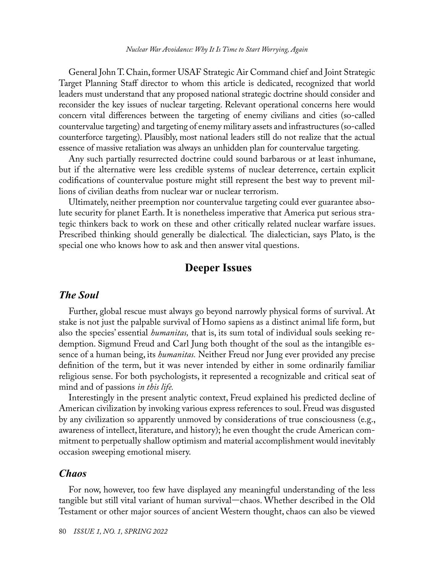General John T. Chain, former USAF Strategic Air Command chief and Joint Strategic Target Planning Staff director to whom this article is dedicated, recognized that world leaders must understand that any proposed national strategic doctrine should consider and reconsider the key issues of nuclear targeting. Relevant operational concerns here would concern vital differences between the targeting of enemy civilians and cities (so-called countervalue targeting) and targeting of enemy military assets and infrastructures (so-called counterforce targeting). Plausibly, most national leaders still do not realize that the actual essence of massive retaliation was always an unhidden plan for countervalue targeting*.*

Any such partially resurrected doctrine could sound barbarous or at least inhumane, but if the alternative were less credible systems of nuclear deterrence, certain explicit codifications of countervalue posture might still represent the best way to prevent millions of civilian deaths from nuclear war or nuclear terrorism.

Ultimately, neither preemption nor countervalue targeting could ever guarantee absolute security for planet Earth. It is nonetheless imperative that America put serious strategic thinkers back to work on these and other critically related nuclear warfare issues. Prescribed thinking should generally be dialectical*.* The dialectician, says Plato, is the special one who knows how to ask and then answer vital questions.

# **Deeper Issues**

#### *The Soul*

Further, global rescue must always go beyond narrowly physical forms of survival. At stake is not just the palpable survival of Homo sapiens as a distinct animal life form, but also the species' essential *humanitas,* that is, its sum total of individual souls seeking redemption. Sigmund Freud and Carl Jung both thought of the soul as the intangible essence of a human being, its *humanitas.* Neither Freud nor Jung ever provided any precise definition of the term, but it was never intended by either in some ordinarily familiar religious sense. For both psychologists, it represented a recognizable and critical seat of mind and of passions *in this life.*

Interestingly in the present analytic context, Freud explained his predicted decline of American civilization by invoking various express references to soul. Freud was disgusted by any civilization so apparently unmoved by considerations of true consciousness (e.g., awareness of intellect, literature, and history); he even thought the crude American commitment to perpetually shallow optimism and material accomplishment would inevitably occasion sweeping emotional misery.

#### *Chaos*

For now, however, too few have displayed any meaningful understanding of the less tangible but still vital variant of human survival—chaos. Whether described in the Old Testament or other major sources of ancient Western thought, chaos can also be viewed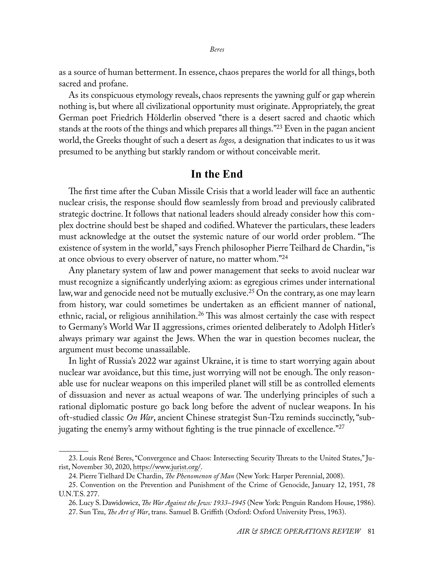as a source of human betterment. In essence, chaos prepares the world for all things, both sacred and profane.

As its conspicuous etymology reveals, chaos represents the yawning gulf or gap wherein nothing is, but where all civilizational opportunity must originate. Appropriately, the great German poet Friedrich Hölderlin observed "there is a desert sacred and chaotic which stands at the roots of the things and which prepares all things."23 Even in the pagan ancient world, the Greeks thought of such a desert as *logos,* a designation that indicates to us it was presumed to be anything but starkly random or without conceivable merit.

#### **In the End**

The first time after the Cuban Missile Crisis that a world leader will face an authentic nuclear crisis, the response should flow seamlessly from broad and previously calibrated strategic doctrine. It follows that national leaders should already consider how this complex doctrine should best be shaped and codified. Whatever the particulars, these leaders must acknowledge at the outset the systemic nature of our world order problem. "The existence of system in the world," says French philosopher Pierre Teilhard de Chardin, "is at once obvious to every observer of nature, no matter whom."<sup>24</sup>

Any planetary system of law and power management that seeks to avoid nuclear war must recognize a significantly underlying axiom: as egregious crimes under international law, war and genocide need not be mutually exclusive.<sup>25</sup> On the contrary, as one may learn from history, war could sometimes be undertaken as an efficient manner of national, ethnic, racial, or religious annihilation.26 This was almost certainly the case with respect to Germany's World War II aggressions, crimes oriented deliberately to Adolph Hitler's always primary war against the Jews. When the war in question becomes nuclear, the argument must become unassailable.

In light of Russia's 2022 war against Ukraine, it is time to start worrying again about nuclear war avoidance, but this time, just worrying will not be enough. The only reasonable use for nuclear weapons on this imperiled planet will still be as controlled elements of dissuasion and never as actual weapons of war. The underlying principles of such a rational diplomatic posture go back long before the advent of nuclear weapons. In his oft-studied classic *On War*, ancient Chinese strategist Sun-Tzu reminds succinctly, "subjugating the enemy's army without fighting is the true pinnacle of excellence."<sup>27</sup>

<sup>23.</sup> Louis René Beres, "Convergence and Chaos: Intersecting Security Threats to the United States," Jurist, November 30, 2020, [https://www.jurist.org/.](https://www.jurist.org/commentary/2020/09/louis-rene-beres-security-threats-united-states/)

<sup>24.</sup> Pierre Tielhard De Chardin, *The Phenomenon of Man* (New York: Harper Perennial, 2008).

<sup>25.</sup> Convention on the Prevention and Punishment of the Crime of Genocide, January 12, 1951, 78 U.N.T.S. 277.

<sup>26.</sup> Lucy S. Dawidowicz, *The War Against the Jews: 1933–1945* (New York: Penguin Random House, 1986).

<sup>27.</sup> Sun Tzu, *The Art of War*, trans. Samuel B. Griffith (Oxford: Oxford University Press, 1963).